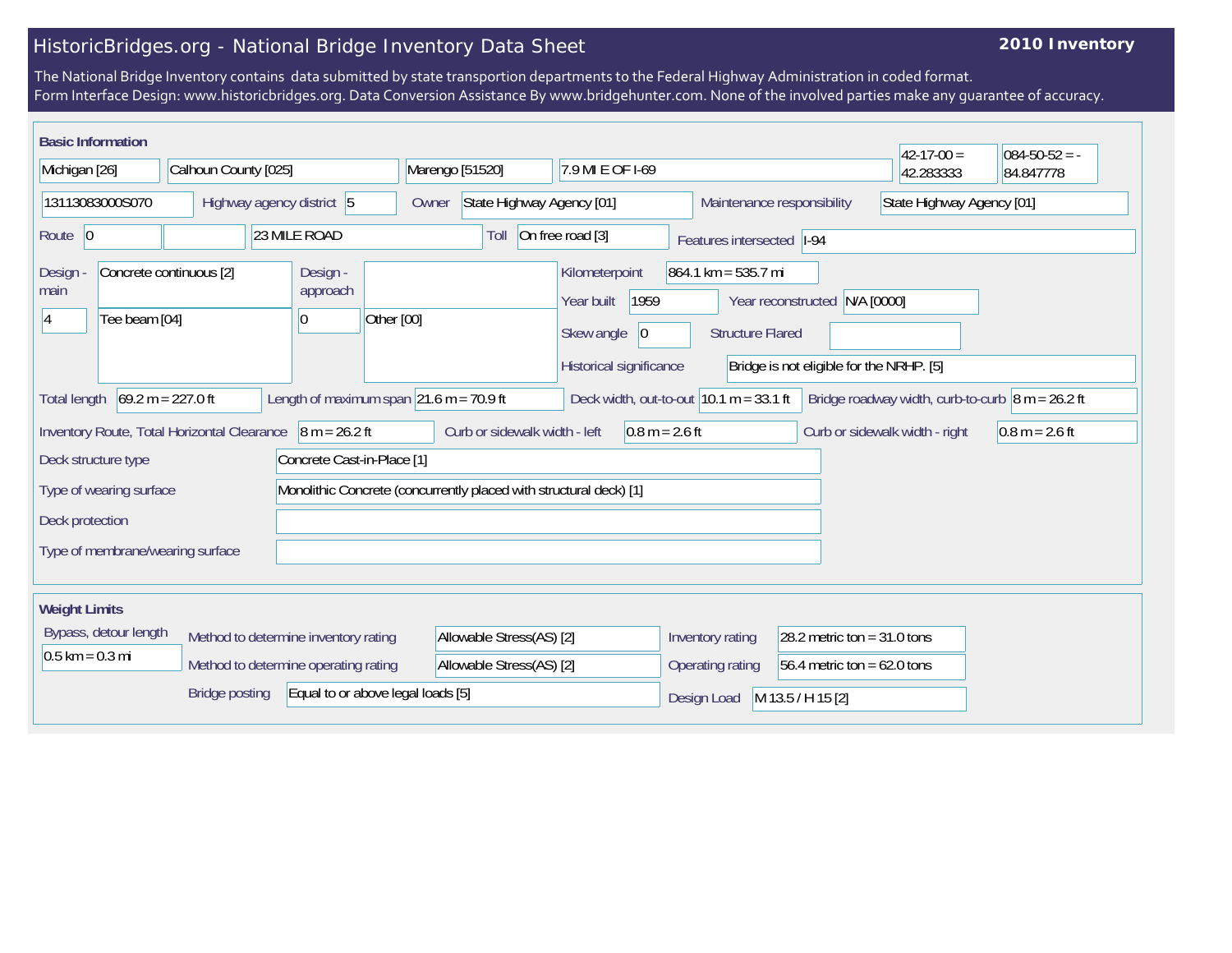## HistoricBridges.org - National Bridge Inventory Data Sheet

## **2010 Inventory**

The National Bridge Inventory contains data submitted by state transportion departments to the Federal Highway Administration in coded format. Form Interface Design: www.historicbridges.org. Data Conversion Assistance By www.bridgehunter.com. None of the involved parties make any guarantee of accuracy.

| <b>Basic Information</b>                                                                                                                                                                          |                       |                           |  |                                      |                                |                                     |  |                                                                       |                            |  |                                                                  |                                                                |            | $42 - 17 - 00 =$ | $084 - 50 - 52 = -$ |
|---------------------------------------------------------------------------------------------------------------------------------------------------------------------------------------------------|-----------------------|---------------------------|--|--------------------------------------|--------------------------------|-------------------------------------|--|-----------------------------------------------------------------------|----------------------------|--|------------------------------------------------------------------|----------------------------------------------------------------|------------|------------------|---------------------|
| Michigan [26]                                                                                                                                                                                     |                       | Calhoun County [025]      |  |                                      |                                | Marengo [51520]<br>7.9 MI E OF 1-69 |  |                                                                       |                            |  |                                                                  |                                                                |            | 42.283333        | 84.847778           |
| 13113083000S070                                                                                                                                                                                   |                       | Highway agency district 5 |  |                                      |                                | State Highway Agency [01]<br>Owner  |  |                                                                       |                            |  |                                                                  | State Highway Agency [01]<br>Maintenance responsibility        |            |                  |                     |
| 23 MILE ROAD<br>Route $ 0$                                                                                                                                                                        |                       |                           |  | Toll                                 |                                | On free road [3]                    |  |                                                                       | Features intersected  I-94 |  |                                                                  |                                                                |            |                  |                     |
| <b>Design</b><br>main<br>14                                                                                                                                                                       | Tee beam [04]         | Concrete continuous [2]   |  | Design -<br>approach<br>$ 0\rangle$  | Other [00]                     |                                     |  | Kilometerpoint<br>Year built<br>Skew angle<br>Historical significance | 1959<br> 0                 |  | $864.1 \text{ km} = 535.7 \text{ mi}$<br><b>Structure Flared</b> | Year reconstructed<br>Bridge is not eligible for the NRHP. [5] | N/A [0000] |                  |                     |
| $69.2 m = 227.0 ft$<br>Length of maximum span $21.6$ m = 70.9 ft<br>Deck width, out-to-out $10.1 m = 33.1 ft$<br>Bridge roadway width, curb-to-curb $\sqrt{8}$ m = 26.2 ft<br><b>Total length</b> |                       |                           |  |                                      |                                |                                     |  |                                                                       |                            |  |                                                                  |                                                                |            |                  |                     |
| $8 m = 26.2 ft$<br>Curb or sidewalk width - left<br>Inventory Route, Total Horizontal Clearance<br>$0.8 m = 2.6 ft$                                                                               |                       |                           |  |                                      | Curb or sidewalk width - right | $0.8 m = 2.6 ft$                    |  |                                                                       |                            |  |                                                                  |                                                                |            |                  |                     |
| Concrete Cast-in-Place [1]<br>Deck structure type                                                                                                                                                 |                       |                           |  |                                      |                                |                                     |  |                                                                       |                            |  |                                                                  |                                                                |            |                  |                     |
| Monolithic Concrete (concurrently placed with structural deck) [1]<br>Type of wearing surface                                                                                                     |                       |                           |  |                                      |                                |                                     |  |                                                                       |                            |  |                                                                  |                                                                |            |                  |                     |
| Deck protection                                                                                                                                                                                   |                       |                           |  |                                      |                                |                                     |  |                                                                       |                            |  |                                                                  |                                                                |            |                  |                     |
| Type of membrane/wearing surface                                                                                                                                                                  |                       |                           |  |                                      |                                |                                     |  |                                                                       |                            |  |                                                                  |                                                                |            |                  |                     |
| <b>Weight Limits</b>                                                                                                                                                                              |                       |                           |  |                                      |                                |                                     |  |                                                                       |                            |  |                                                                  |                                                                |            |                  |                     |
|                                                                                                                                                                                                   | Bypass, detour length |                           |  | Method to determine inventory rating |                                | Allowable Stress(AS) [2]            |  |                                                                       |                            |  | Inventory rating                                                 | 28.2 metric ton = $31.0$ tons                                  |            |                  |                     |
| $0.5$ km = 0.3 mi                                                                                                                                                                                 |                       |                           |  | Method to determine operating rating |                                | Allowable Stress(AS) [2]            |  |                                                                       |                            |  | Operating rating                                                 | 56.4 metric ton = $62.0$ tons                                  |            |                  |                     |
| Equal to or above legal loads [5]<br><b>Bridge posting</b>                                                                                                                                        |                       |                           |  |                                      |                                |                                     |  | M 13.5 / H 15 [2]<br>Design Load                                      |                            |  |                                                                  |                                                                |            |                  |                     |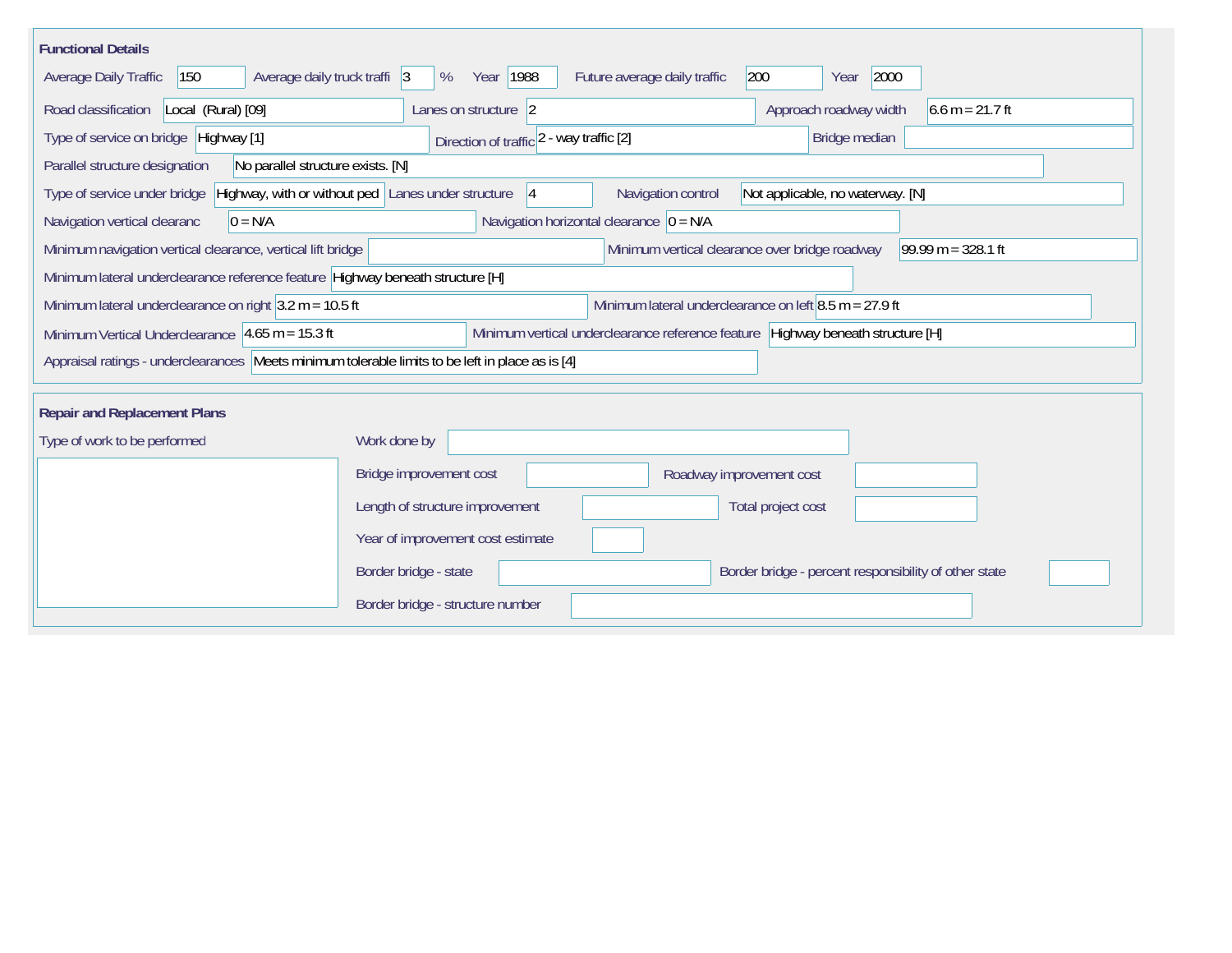| <b>Functional Details</b>                                                                        |                                                          |                                                          |                                                                                 |                   |  |  |  |
|--------------------------------------------------------------------------------------------------|----------------------------------------------------------|----------------------------------------------------------|---------------------------------------------------------------------------------|-------------------|--|--|--|
| Average daily truck traffi 3<br><b>Average Daily Traffic</b><br>150                              | Year   1988<br>%                                         | Future average daily traffic                             | 200<br>2000<br>Year                                                             |                   |  |  |  |
| Road classification<br>Local (Rural) [09]                                                        | Lanes on structure 2                                     |                                                          | Approach roadway width                                                          | $6.6 m = 21.7 ft$ |  |  |  |
| Type of service on bridge Highway [1]                                                            | Direction of traffic 2 - way traffic [2]                 |                                                          | Bridge median                                                                   |                   |  |  |  |
| No parallel structure exists. [N]<br>Parallel structure designation                              |                                                          |                                                          |                                                                                 |                   |  |  |  |
| Type of service under bridge                                                                     | Highway, with or without ped Lanes under structure<br> 4 | Navigation control                                       | Not applicable, no waterway. [N]                                                |                   |  |  |  |
| Navigation vertical clearanc<br>$0 = N/A$                                                        | Navigation horizontal clearance $\vert$ 0 = N/A          |                                                          |                                                                                 |                   |  |  |  |
| Minimum navigation vertical clearance, vertical lift bridge                                      |                                                          | Minimum vertical clearance over bridge roadway           | $99.99 m = 328.1 ft$                                                            |                   |  |  |  |
| Minimum lateral underclearance reference feature Highway beneath structure [H]                   |                                                          |                                                          |                                                                                 |                   |  |  |  |
| Minimum lateral underclearance on right $3.2$ m = 10.5 ft                                        |                                                          | Minimum lateral underclearance on left $8.5$ m = 27.9 ft |                                                                                 |                   |  |  |  |
| Minimum Vertical Underclearance $ 4.65 \text{ m} = 15.3 \text{ ft} $                             |                                                          |                                                          | Minimum vertical underclearance reference feature Highway beneath structure [H] |                   |  |  |  |
| Appraisal ratings - underclearances Meets minimum tolerable limits to be left in place as is [4] |                                                          |                                                          |                                                                                 |                   |  |  |  |
| <b>Repair and Replacement Plans</b>                                                              |                                                          |                                                          |                                                                                 |                   |  |  |  |
| Type of work to be performed                                                                     | Work done by                                             |                                                          |                                                                                 |                   |  |  |  |
|                                                                                                  | Bridge improvement cost                                  | Roadway improvement cost                                 |                                                                                 |                   |  |  |  |
|                                                                                                  | Length of structure improvement                          |                                                          | Total project cost                                                              |                   |  |  |  |
|                                                                                                  | Year of improvement cost estimate                        |                                                          |                                                                                 |                   |  |  |  |
|                                                                                                  | Border bridge - state                                    |                                                          | Border bridge - percent responsibility of other state                           |                   |  |  |  |
|                                                                                                  | Border bridge - structure number                         |                                                          |                                                                                 |                   |  |  |  |